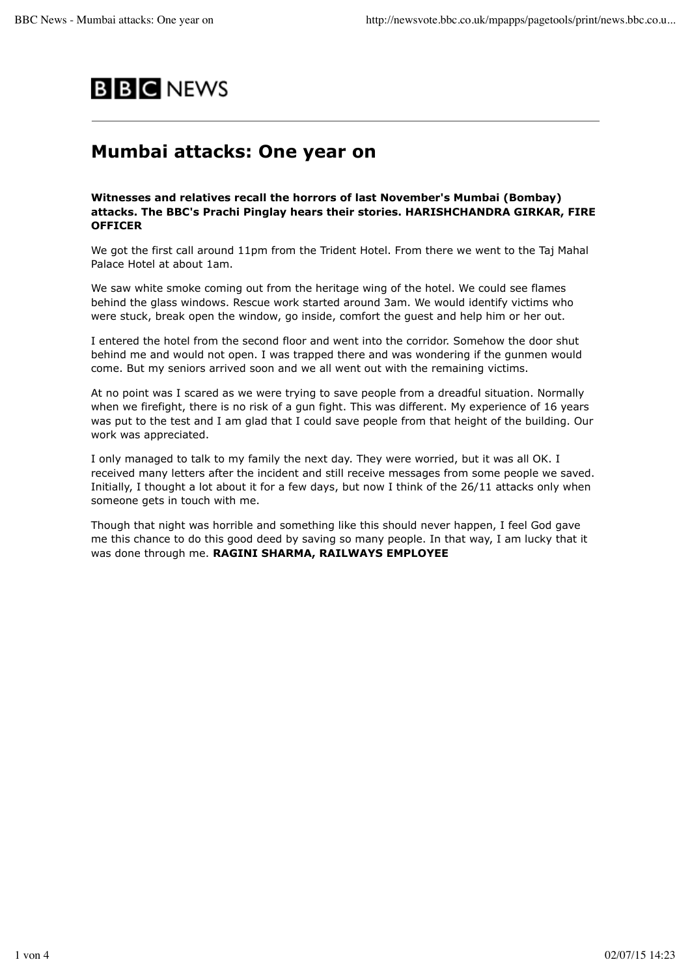

## **Mumbai attacks: One year on**

**Witnesses and relatives recall the horrors of last November's Mumbai (Bombay) attacks. The BBC's Prachi Pinglay hears their stories. HARISHCHANDRA GIRKAR, FIRE OFFICER**

We got the first call around 11pm from the Trident Hotel. From there we went to the Taj Mahal Palace Hotel at about 1am.

We saw white smoke coming out from the heritage wing of the hotel. We could see flames behind the glass windows. Rescue work started around 3am. We would identify victims who were stuck, break open the window, go inside, comfort the guest and help him or her out.

I entered the hotel from the second floor and went into the corridor. Somehow the door shut behind me and would not open. I was trapped there and was wondering if the gunmen would come. But my seniors arrived soon and we all went out with the remaining victims.

At no point was I scared as we were trying to save people from a dreadful situation. Normally when we firefight, there is no risk of a gun fight. This was different. My experience of 16 years was put to the test and I am glad that I could save people from that height of the building. Our work was appreciated.

I only managed to talk to my family the next day. They were worried, but it was all OK. I received many letters after the incident and still receive messages from some people we saved. Initially, I thought a lot about it for a few days, but now I think of the 26/11 attacks only when someone gets in touch with me.

Though that night was horrible and something like this should never happen, I feel God gave me this chance to do this good deed by saving so many people. In that way, I am lucky that it was done through me. **RAGINI SHARMA, RAILWAYS EMPLOYEE**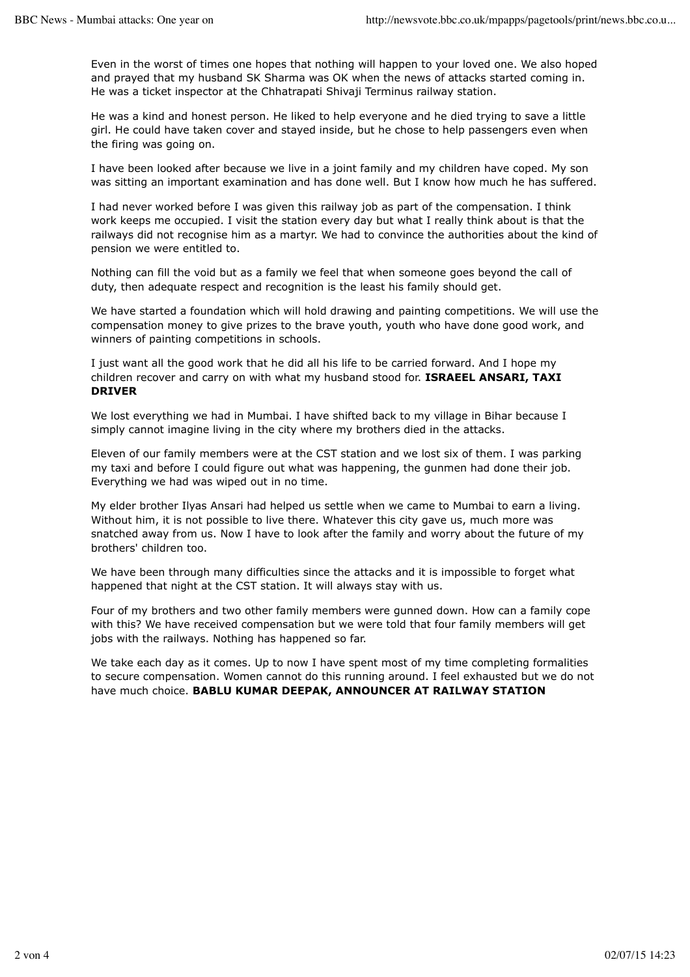Even in the worst of times one hopes that nothing will happen to your loved one. We also hoped and prayed that my husband SK Sharma was OK when the news of attacks started coming in. He was a ticket inspector at the Chhatrapati Shivaji Terminus railway station.

He was a kind and honest person. He liked to help everyone and he died trying to save a little girl. He could have taken cover and stayed inside, but he chose to help passengers even when the firing was going on.

I have been looked after because we live in a joint family and my children have coped. My son was sitting an important examination and has done well. But I know how much he has suffered.

I had never worked before I was given this railway job as part of the compensation. I think work keeps me occupied. I visit the station every day but what I really think about is that the railways did not recognise him as a martyr. We had to convince the authorities about the kind of pension we were entitled to.

Nothing can fill the void but as a family we feel that when someone goes beyond the call of duty, then adequate respect and recognition is the least his family should get.

We have started a foundation which will hold drawing and painting competitions. We will use the compensation money to give prizes to the brave youth, youth who have done good work, and winners of painting competitions in schools.

I just want all the good work that he did all his life to be carried forward. And I hope my children recover and carry on with what my husband stood for. **ISRAEEL ANSARI, TAXI DRIVER**

We lost everything we had in Mumbai. I have shifted back to my village in Bihar because I simply cannot imagine living in the city where my brothers died in the attacks.

Eleven of our family members were at the CST station and we lost six of them. I was parking my taxi and before I could figure out what was happening, the gunmen had done their job. Everything we had was wiped out in no time.

My elder brother Ilyas Ansari had helped us settle when we came to Mumbai to earn a living. Without him, it is not possible to live there. Whatever this city gave us, much more was snatched away from us. Now I have to look after the family and worry about the future of my brothers' children too.

We have been through many difficulties since the attacks and it is impossible to forget what happened that night at the CST station. It will always stay with us.

Four of my brothers and two other family members were gunned down. How can a family cope with this? We have received compensation but we were told that four family members will get jobs with the railways. Nothing has happened so far.

We take each day as it comes. Up to now I have spent most of my time completing formalities to secure compensation. Women cannot do this running around. I feel exhausted but we do not have much choice. **BABLU KUMAR DEEPAK, ANNOUNCER AT RAILWAY STATION**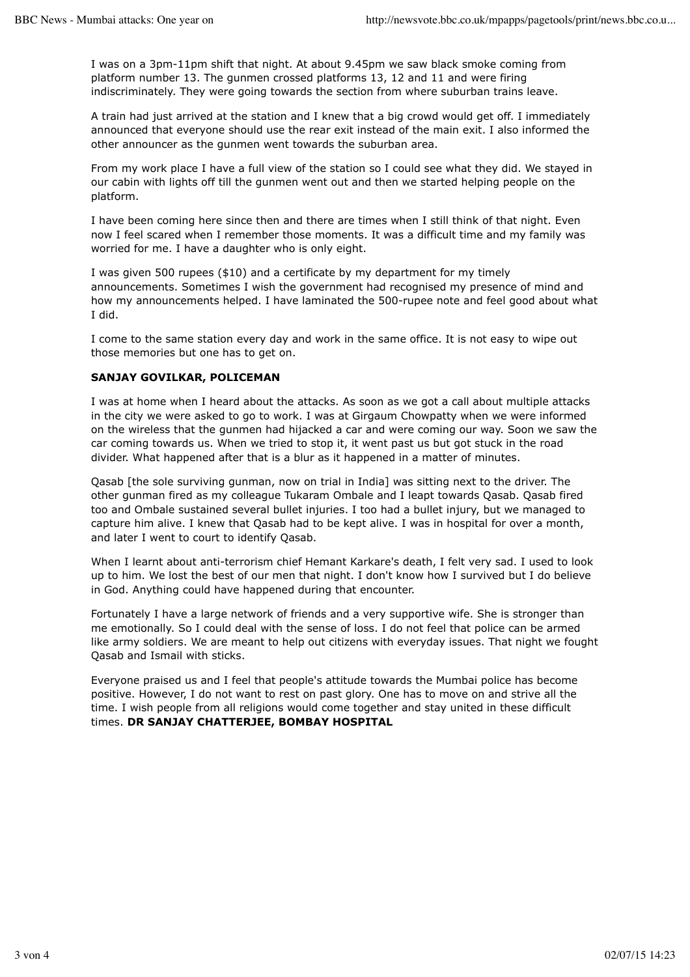I was on a 3pm-11pm shift that night. At about 9.45pm we saw black smoke coming from platform number 13. The gunmen crossed platforms 13, 12 and 11 and were firing indiscriminately. They were going towards the section from where suburban trains leave.

A train had just arrived at the station and I knew that a big crowd would get off. I immediately announced that everyone should use the rear exit instead of the main exit. I also informed the other announcer as the gunmen went towards the suburban area.

From my work place I have a full view of the station so I could see what they did. We stayed in our cabin with lights off till the gunmen went out and then we started helping people on the platform.

I have been coming here since then and there are times when I still think of that night. Even now I feel scared when I remember those moments. It was a difficult time and my family was worried for me. I have a daughter who is only eight.

I was given 500 rupees (\$10) and a certificate by my department for my timely announcements. Sometimes I wish the government had recognised my presence of mind and how my announcements helped. I have laminated the 500-rupee note and feel good about what I did.

I come to the same station every day and work in the same office. It is not easy to wipe out those memories but one has to get on.

## **SANJAY GOVILKAR, POLICEMAN**

I was at home when I heard about the attacks. As soon as we got a call about multiple attacks in the city we were asked to go to work. I was at Girgaum Chowpatty when we were informed on the wireless that the gunmen had hijacked a car and were coming our way. Soon we saw the car coming towards us. When we tried to stop it, it went past us but got stuck in the road divider. What happened after that is a blur as it happened in a matter of minutes.

Qasab [the sole surviving gunman, now on trial in India] was sitting next to the driver. The other gunman fired as my colleague Tukaram Ombale and I leapt towards Qasab. Qasab fired too and Ombale sustained several bullet injuries. I too had a bullet injury, but we managed to capture him alive. I knew that Qasab had to be kept alive. I was in hospital for over a month, and later I went to court to identify Qasab.

When I learnt about anti-terrorism chief Hemant Karkare's death, I felt very sad. I used to look up to him. We lost the best of our men that night. I don't know how I survived but I do believe in God. Anything could have happened during that encounter.

Fortunately I have a large network of friends and a very supportive wife. She is stronger than me emotionally. So I could deal with the sense of loss. I do not feel that police can be armed like army soldiers. We are meant to help out citizens with everyday issues. That night we fought Qasab and Ismail with sticks.

Everyone praised us and I feel that people's attitude towards the Mumbai police has become positive. However, I do not want to rest on past glory. One has to move on and strive all the time. I wish people from all religions would come together and stay united in these difficult times. **DR SANJAY CHATTERJEE, BOMBAY HOSPITAL**